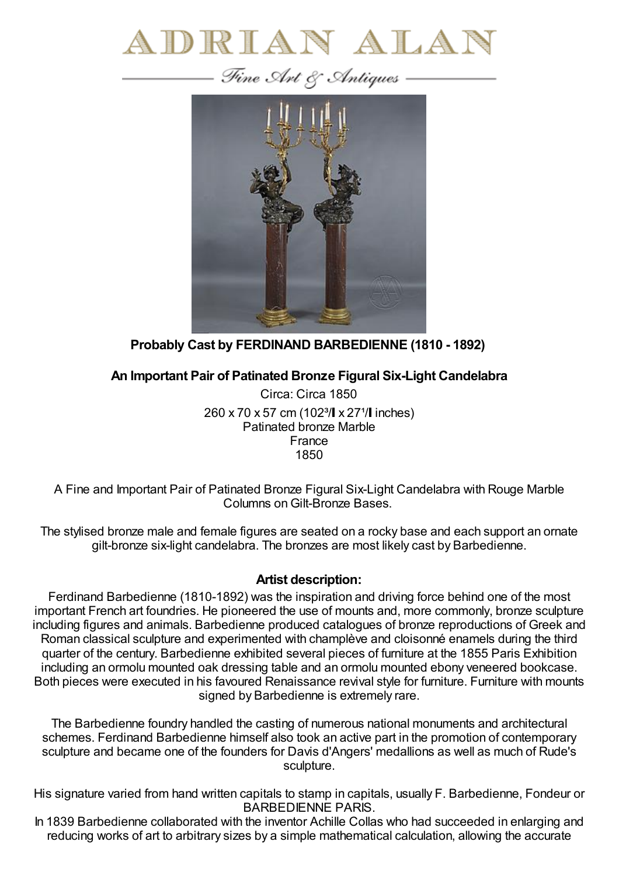



**Probably Cast by FERDINAND BARBEDIENNE (1810 - 1892)**

**An Important Pair of Patinated Bronze Figural Six-Light Candelabra**

Circa: Circa 1850 260 x 70 x 57 cm (102<sup>3</sup>/ x 27<sup>1</sup>/ linches) Patinated bronze Marble France 1850

A Fine and Important Pair of Patinated Bronze Figural Six-Light Candelabra with Rouge Marble Columns on Gilt-Bronze Bases.

The stylised bronze male and female figures are seated on a rocky base and each support an ornate gilt-bronze six-light candelabra. The bronzes are most likely cast by Barbedienne.

## **Artist description:**

Ferdinand Barbedienne (1810-1892) was the inspiration and driving force behind one of the most important French art foundries. He pioneered the use of mounts and, more commonly, bronze sculpture including figures and animals. Barbedienne produced catalogues of bronze reproductions of Greek and Roman classical sculpture and experimented with champlève and cloisonné enamels during the third quarter of the century. Barbedienne exhibited several pieces of furniture at the 1855 Paris Exhibition including an ormolu mounted oak dressing table and an ormolu mounted ebony veneered bookcase. Both pieces were executed in his favoured Renaissance revival style for furniture. Furniture with mounts signed by Barbedienne is extremely rare.

The Barbedienne foundry handled the casting of numerous national monuments and architectural schemes. Ferdinand Barbedienne himself also took an active part in the promotion of contemporary sculpture and became one of the founders for Davis d'Angers' medallions as well as much of Rude's sculpture.

His signature varied from hand written capitals to stamp in capitals, usually F. Barbedienne, Fondeur or BARBEDIENNE PARIS.

In 1839 Barbedienne collaborated with the inventor Achille Collas who had succeeded in enlarging and reducing works of art to arbitrary sizes by a simple mathematical calculation, allowing the accurate